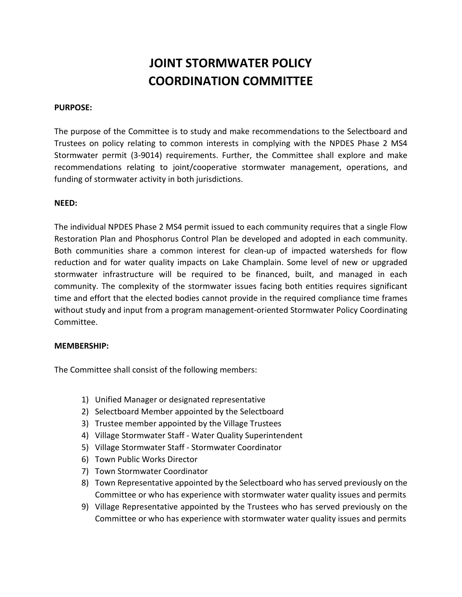# **JOINT STORMWATER POLICY COORDINATION COMMITTEE**

#### **PURPOSE:**

The purpose of the Committee is to study and make recommendations to the Selectboard and Trustees on policy relating to common interests in complying with the NPDES Phase 2 MS4 Stormwater permit (3-9014) requirements. Further, the Committee shall explore and make recommendations relating to joint/cooperative stormwater management, operations, and funding of stormwater activity in both jurisdictions.

### **NEED:**

The individual NPDES Phase 2 MS4 permit issued to each community requires that a single Flow Restoration Plan and Phosphorus Control Plan be developed and adopted in each community. Both communities share a common interest for clean-up of impacted watersheds for flow reduction and for water quality impacts on Lake Champlain. Some level of new or upgraded stormwater infrastructure will be required to be financed, built, and managed in each community. The complexity of the stormwater issues facing both entities requires significant time and effort that the elected bodies cannot provide in the required compliance time frames without study and input from a program management-oriented Stormwater Policy Coordinating Committee.

#### **MEMBERSHIP:**

The Committee shall consist of the following members:

- 1) Unified Manager or designated representative
- 2) Selectboard Member appointed by the Selectboard
- 3) Trustee member appointed by the Village Trustees
- 4) Village Stormwater Staff Water Quality Superintendent
- 5) Village Stormwater Staff Stormwater Coordinator
- 6) Town Public Works Director
- 7) Town Stormwater Coordinator
- 8) Town Representative appointed by the Selectboard who has served previously on the Committee or who has experience with stormwater water quality issues and permits
- 9) Village Representative appointed by the Trustees who has served previously on the Committee or who has experience with stormwater water quality issues and permits